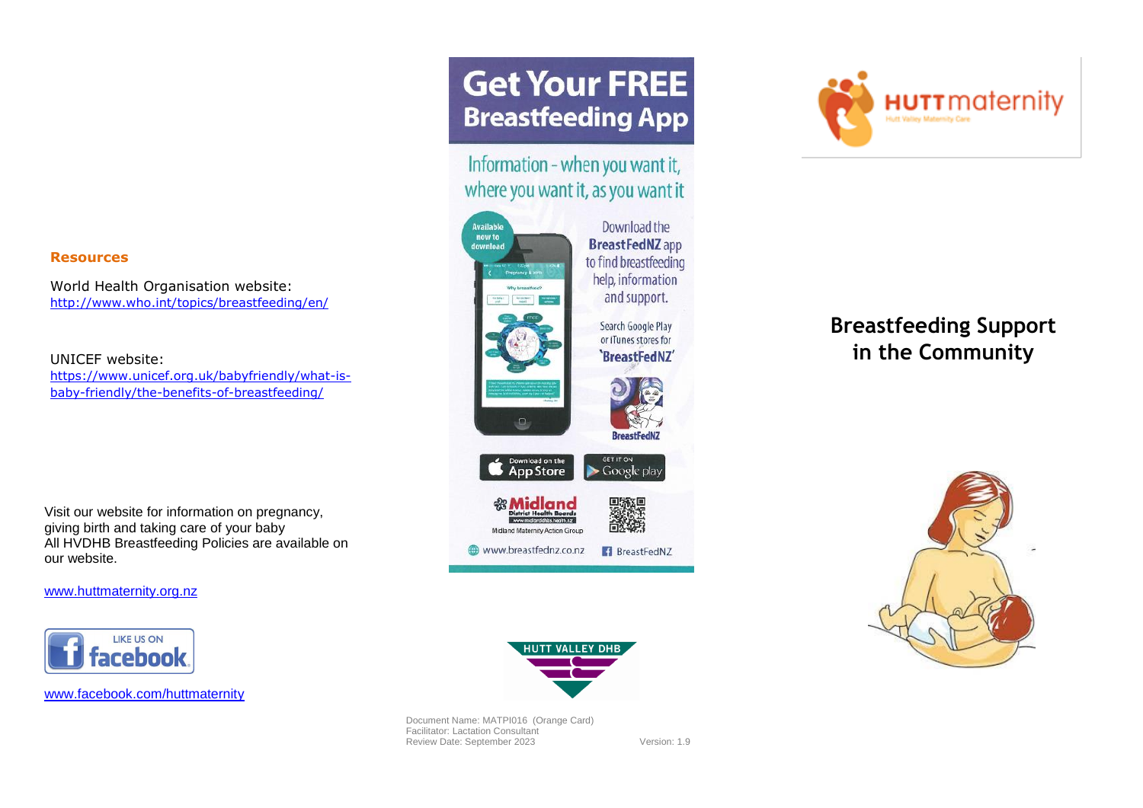#### **Resources**

World Health Organisation website: <http://www.who.int/topics/breastfeeding/en/>

UNICEF website:

[https://www.unicef.org.uk/babyfriendly/what-is](https://www.unicef.org.uk/babyfriendly/what-is-baby-friendly/the-benefits-of-breastfeeding/)[baby-friendly/the-benefits-of-breastfeeding/](https://www.unicef.org.uk/babyfriendly/what-is-baby-friendly/the-benefits-of-breastfeeding/)

Visit our website for information on pregnancy, giving birth and taking care of your baby All HVDHB Breastfeeding Policies are available on our website.

[www.huttmaternity.org.nz](http://www.huttmaternity.org.nz/)



[www.facebook.com/huttmaternity](http://www.facebook.com/huttmaternity)

# **Get Your FREE Breastfeeding App**

Information - when you want it, where you want it, as you want it





## **Breastfeeding Support in the Community**





Document Name: MATPI016 (Orange Card) Facilitator: Lactation Consultant Review Date: September 2023 Version: 1.9